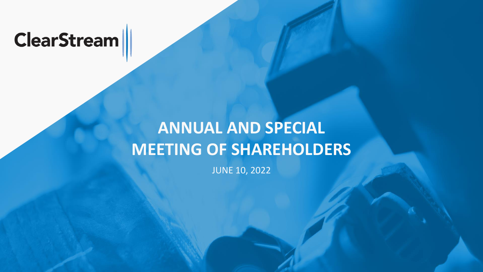# **ClearStream**

# **ANNUAL AND SPECIAL MEETING OF SHAREHOLDERS**

JUNE 10, 2022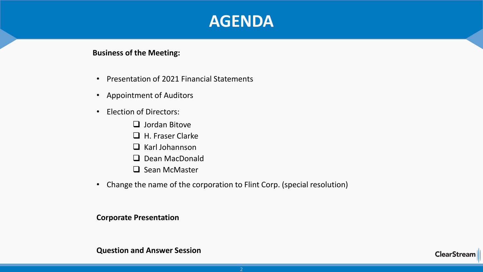### **AGENDA**

### **Business of the Meeting:**

- Presentation of 2021 Financial Statements
- Appointment of Auditors
- Election of Directors:
	- ❑ Jordan Bitove
	- ❑ H. Fraser Clarke
	- ❑ Karl Johannson
	- ❑ Dean MacDonald
	- ❑ Sean McMaster
- Change the name of the corporation to Flint Corp. (special resolution)

### **Corporate Presentation**

### **Question and Answer Session**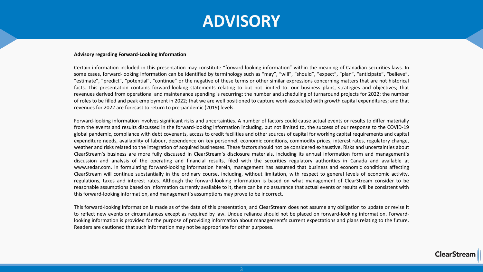

#### **Advisory regarding Forward-Looking Information**

Certain information included in this presentation may constitute "forward-looking information" within the meaning of Canadian securities laws. In some cases, forward-looking information can be identified by terminology such as "may", "will", "should", "expect", "plan", "anticipate", "believe", "estimate", "predict", "potential", "continue" or the negative of these terms or other similar expressions concerning matters that are not historical facts. This presentation contains forward-looking statements relating to but not limited to: our business plans, strategies and objectives; that revenues derived from operational and maintenance spending is recurring; the number and scheduling of turnaround projects for 2022; the number of roles to be filled and peak employment in 2022; that we are well positioned to capture work associated with growth capital expenditures; and that revenues for 2022 are forecast to return to pre-pandemic (2019) levels.

Forward-looking information involves significant risks and uncertainties. A number of factors could cause actual events or results to differ materially from the events and results discussed in the forward-looking information including, but not limited to, the success of our response to the COVID-19 global pandemic, compliance with debt covenants, access to credit facilities and other sources of capital for working capital requirements and capital expenditure needs, availability of labour, dependence on key personnel, economic conditions, commodity prices, interest rates, regulatory change, weather and risks related to the integration of acquired businesses. These factors should not be considered exhaustive. Risks and uncertainties about ClearStream's business are more fully discussed in ClearStream's disclosure materials, including its annual information form and management's discussion and analysis of the operating and financial results, filed with the securities regulatory authorities in Canada and available at www.sedar.com. In formulating forward-looking information herein, management has assumed that business and economic conditions affecting ClearStream will continue substantially in the ordinary course, including, without limitation, with respect to general levels of economic activity, regulations, taxes and interest rates. Although the forward-looking information is based on what management of ClearStream consider to be reasonable assumptions based on information currently available to it, there can be no assurance that actual events or results will be consistent with this forward-looking information, and management's assumptions may prove to be incorrect.

This forward-looking information is made as of the date of this presentation, and ClearStream does not assume any obligation to update or revise it to reflect new events or circumstances except as required by law. Undue reliance should not be placed on forward-looking information. Forwardlooking information is provided for the purpose of providing information about management's current expectations and plans relating to the future. Readers are cautioned that such information may not be appropriate for other purposes.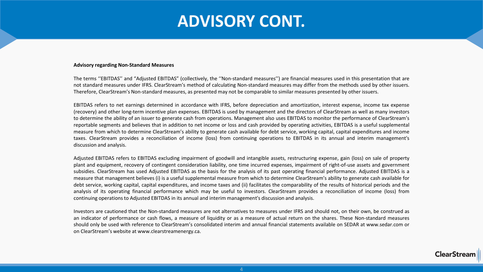## **ADVISORY CONT.**

#### **Advisory regarding Non-Standard Measures**

The terms ''EBITDAS'' and "Adjusted EBITDAS" (collectively, the ''Non-standard measures'') are financial measures used in this presentation that are not standard measures under IFRS. ClearStream's method of calculating Non-standard measures may differ from the methods used by other issuers. Therefore, ClearStream's Non-standard measures, as presented may not be comparable to similar measures presented by other issuers.

EBITDAS refers to net earnings determined in accordance with IFRS, before depreciation and amortization, interest expense, income tax expense (recovery) and other long-term incentive plan expenses. EBITDAS is used by management and the directors of ClearStream as well as many investors to determine the ability of an issuer to generate cash from operations. Management also uses EBITDAS to monitor the performance of ClearStream's reportable segments and believes that in addition to net income or loss and cash provided by operating activities, EBITDAS is a useful supplemental measure from which to determine ClearStream's ability to generate cash available for debt service, working capital, capital expenditures and income taxes. ClearStream provides a reconciliation of income (loss) from continuing operations to EBITDAS in its annual and interim management's discussion and analysis.

Adjusted EBITDAS refers to EBITDAS excluding impairment of goodwill and intangible assets, restructuring expense, gain (loss) on sale of property plant and equipment, recovery of contingent consideration liability, one time incurred expenses, impairment of right-of-use assets and government subsidies. ClearStream has used Adjusted EBITDAS as the basis for the analysis of its past operating financial performance. Adjusted EBITDAS is a measure that management believes (i) is a useful supplemental measure from which to determine ClearStream's ability to generate cash available for debt service, working capital, capital expenditures, and income taxes and (ii) facilitates the comparability of the results of historical periods and the analysis of its operating financial performance which may be useful to investors. ClearStream provides a reconciliation of income (loss) from continuing operationsto Adjusted EBITDAS in its annual and interim management's discussion and analysis.

Investors are cautioned that the Non-standard measures are not alternatives to measures under IFRS and should not, on their own, be construed as an indicator of performance or cash flows, a measure of liquidity or as a measure of actual return on the shares. These Non-standard measures should only be used with reference to ClearStream's consolidated interim and annual financial statements available on SEDAR at www.sedar.com or on ClearStream's website at www.clearstreamenergy.ca.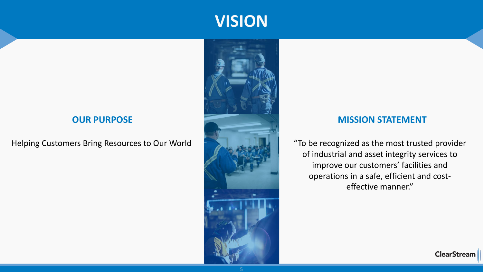### **OUR PURPOSE**

Helping Customers Bring Resources to Our World



**VISION**

### **MISSION STATEMENT**

"To be recognized as the most trusted provider of industrial and asset integrity services to improve our customers' facilities and operations in a safe, efficient and costeffective manner."

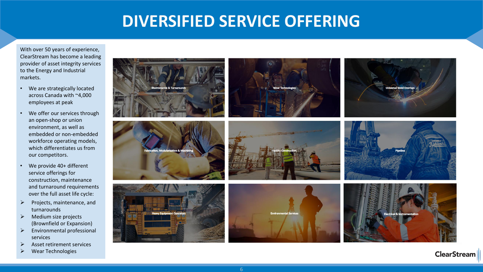## **DIVERSIFIED SERVICE OFFERING**

With over 50 years of experience, ClearStream has become a leading provider of asset integrity services to the Energy and Industrial markets.

- We are strategically located across Canada with ~4,000 employees at peak
- We offer our services through an open-shop or union environment, as well as embedded or non-embedded workforce operating models, which differentiates us from our competitors.
- We provide 40+ different service offerings for construction, maintenance and turnaround requirements over the full asset life cycle:
- ➢ Projects, maintenance, and turnarounds
- $\triangleright$  Medium size projects (Brownfield or Expansion)
- ➢ Environmental professional services
- ➢ Asset retirement services
- ➢ Wear Technologies



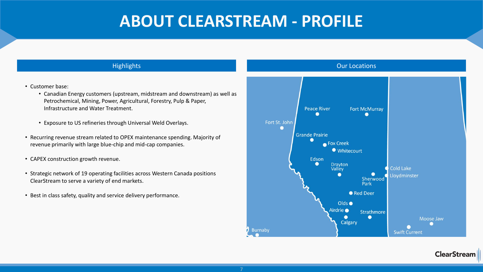## **ABOUT CLEARSTREAM - PROFILE**

- Customer base:
	- Canadian Energy customers (upstream, midstream and downstream) as well as Petrochemical, Mining, Power, Agricultural, Forestry, Pulp & Paper, Infrastructure and Water Treatment.
	- Exposure to US refineries through Universal Weld Overlays.
- Recurring revenue stream related to OPEX maintenance spending. Majority of revenue primarily with large blue-chip and mid-cap companies.
- CAPEX construction growth revenue.
- Strategic network of 19 operating facilities across Western Canada positions ClearStream to serve a variety of end markets.
- Best in class safety, quality and service delivery performance.

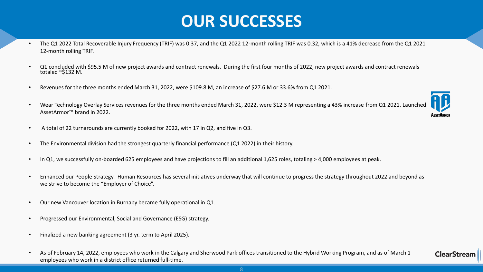## **OUR SUCCESSES**

- The Q1 2022 Total Recoverable Injury Frequency (TRIF) was 0.37, and the Q1 2022 12-month rolling TRIF was 0.32, which is a 41% decrease from the Q1 2021 12-month rolling TRIF.
- Q1 concluded with \$95.5 M of new project awards and contract renewals. During the first four months of 2022, new project awards and contract renewals totaled ~\$132 M.
- Revenues for the three months ended March 31, 2022, were \$109.8 M, an increase of \$27.6 M or 33.6% from Q1 2021.
- Wear Technology Overlay Services revenues for the three months ended March 31, 2022, were \$12.3 M representing a 43% increase from Q1 2021. Launched AssetArmor™ brand in 2022.



**ClearStrear** 

- A total of 22 turnarounds are currently booked for 2022, with 17 in Q2, and five in Q3.
- The Environmental division had the strongest quarterly financial performance (Q1 2022) in their history.
- In Q1, we successfully on-boarded 625 employees and have projections to fill an additional 1,625 roles, totaling > 4,000 employees at peak.
- Enhanced our People Strategy. Human Resources has several initiatives underway that will continue to progress the strategy throughout 2022 and beyond as we strive to become the "Employer of Choice".
- Our new Vancouver location in Burnaby became fully operational in Q1.
- Progressed our Environmental, Social and Governance (ESG) strategy.
- Finalized a new banking agreement (3 yr. term to April 2025).
- As of February 14, 2022, employees who work in the Calgary and Sherwood Park offices transitioned to the Hybrid Working Program, and as of March 1 employees who work in a district office returned full-time.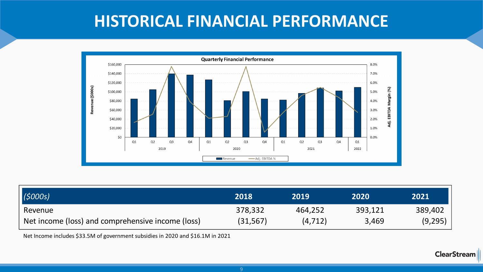## **HISTORICAL FINANCIAL PERFORMANCE**



| (5000s)                                           | 2018      | 2019     | 2020    | 2021    |
|---------------------------------------------------|-----------|----------|---------|---------|
| Revenue                                           | 378,332   | 464,252  | 393,121 | 389,402 |
| Net income (loss) and comprehensive income (loss) | (31, 567) | (4, 712) | 3,469   | (9,295) |

Net Income includes \$33.5M of government subsidies in 2020 and \$16.1M in 2021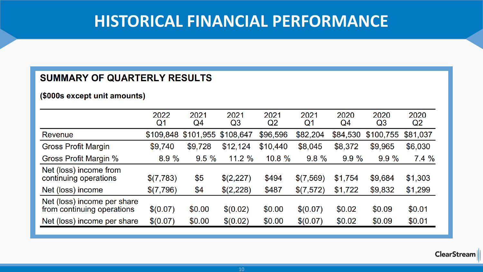## **HISTORICAL FINANCIAL PERFORMANCE**

### SUMMARY OF QUARTERLY RESULTS

(\$000s except unit amounts)

|                                                           | 2022<br>Q1 | 2021<br>Q4          | 2021<br>Q3 | 2021<br>Q2 | 2021<br>Q1 | 2020<br>Q4 | 2020<br>Q <sub>3</sub> | 2020<br>Q <sub>2</sub> |
|-----------------------------------------------------------|------------|---------------------|------------|------------|------------|------------|------------------------|------------------------|
| Revenue                                                   | \$109,848  | \$101,955 \$108,647 |            | \$96,596   | \$82,204   | \$84,530   | \$100,755              | \$81,037               |
| <b>Gross Profit Margin</b>                                | \$9,740    | \$9,728             | \$12,124   | \$10,440   | \$8,045    | \$8,372    | \$9,965                | \$6,030                |
| <b>Gross Profit Margin %</b>                              | 8.9%       | 9.5%                | 11.2%      | $10.8 \%$  | 9.8%       | 9.9%       | 9.9%                   | 7.4%                   |
| Net (loss) income from<br>continuing operations           | \$(7,783)  | \$5                 | \$(2,227)  | \$494      | \$(7,569)  | \$1,754    | \$9,684                | \$1,303                |
| Net (loss) income                                         | \$(7,796)  | \$4                 | \$(2,228)  | \$487      | \$(7,572)  | \$1,722    | \$9,832                | \$1,299                |
| Net (loss) income per share<br>from continuing operations | \$(0.07)   | \$0.00              | \$(0.02)   | \$0.00     | \$(0.07)   | \$0.02     | \$0.09                 | \$0.01                 |
| Net (loss) income per share                               | \$(0.07)   | \$0.00              | \$(0.02)   | \$0.00     | \$(0.07)   | \$0.02     | \$0.09                 | \$0.01                 |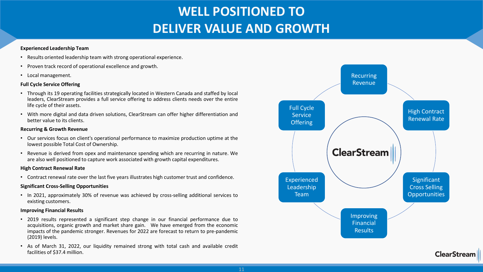### **WELL POSITIONED TO DELIVER VALUE AND GROWTH**

#### **Experienced Leadership Team**

- Results oriented leadership team with strong operational experience.
- Proven track record of operational excellence and growth.
- Local management.

#### **Full Cycle Service Offering**

- Through its 19 operating facilities strategically located in Western Canada and staffed by local leaders, ClearStream provides a full service offering to address clients needs over the entire life cycle of their assets.
- With more digital and data driven solutions, ClearStream can offer higher differentiation and better value to its clients.

#### **Recurring & Growth Revenue**

- Our services focus on client's operational performance to maximize production uptime at the lowest possible Total Cost of Ownership.
- Revenue is derived from opex and maintenance spending which are recurring in nature. We are also well positioned to capture work associated with growth capital expenditures.

#### **High Contract Renewal Rate**

• Contract renewal rate over the last five years illustrates high customer trust and confidence.

#### **Significant Cross-Selling Opportunities**

• In 2021, approximately 30% of revenue was achieved by cross-selling additional services to existing customers.

#### **Improving Financial Results**

- 2019 results represented a significant step change in our financial performance due to acquisitions, organic growth and market share gain. We have emerged from the economic impacts of the pandemic stronger. Revenues for 2022 are forecast to return to pre-pandemic (2019) levels.
- As of March 31, 2022, our liquidity remained strong with total cash and available credit facilities of \$37.4 million.